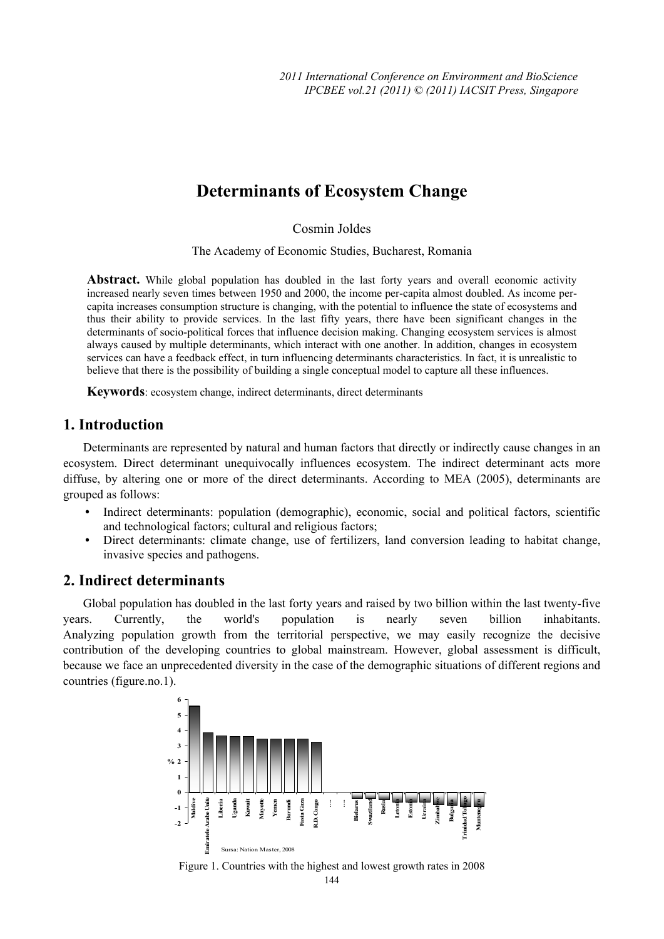# **Determinants of Ecosystem Change**

Cosmin Joldes

The Academy of Economic Studies, Bucharest, Romania

Abstract. While global population has doubled in the last forty years and overall economic activity increased nearly seven times between 1950 and 2000, the income per-capita almost doubled. As income percapita increases consumption structure is changing, with the potential to influence the state of ecosystems and thus their ability to provide services. In the last fifty years, there have been significant changes in the determinants of socio-political forces that influence decision making. Changing ecosystem services is almost always caused by multiple determinants, which interact with one another. In addition, changes in ecosystem services can have a feedback effect, in turn influencing determinants characteristics. In fact, it is unrealistic to believe that there is the possibility of building a single conceptual model to capture all these influences.

**Keywords**: ecosystem change, indirect determinants, direct determinants

### **1. Introduction**

Determinants are represented by natural and human factors that directly or indirectly cause changes in an ecosystem. Direct determinant unequivocally influences ecosystem. The indirect determinant acts more diffuse, by altering one or more of the direct determinants. According to MEA (2005), determinants are grouped as follows:

- Indirect determinants: population (demographic), economic, social and political factors, scientific and technological factors; cultural and religious factors;
- Direct determinants: climate change, use of fertilizers, land conversion leading to habitat change, invasive species and pathogens.

## **2. Indirect determinants**

Global population has doubled in the last forty years and raised by two billion within the last twenty-five years. Currently, the world's population is nearly seven billion inhabitants. Analyzing population growth from the territorial perspective, we may easily recognize the decisive contribution of the developing countries to global mainstream. However, global assessment is difficult, because we face an unprecedented diversity in the case of the demographic situations of different regions and countries (figure.no.1).



Figure 1. Countries with the highest and lowest growth rates in 2008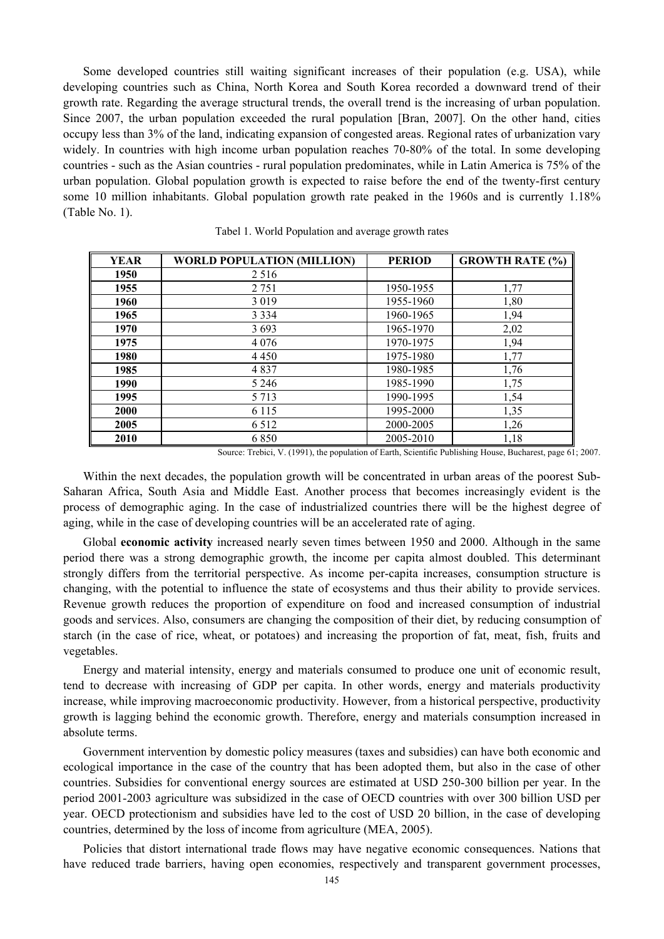Some developed countries still waiting significant increases of their population (e.g. USA), while developing countries such as China, North Korea and South Korea recorded a downward trend of their growth rate. Regarding the average structural trends, the overall trend is the increasing of urban population. Since 2007, the urban population exceeded the rural population [Bran, 2007]. On the other hand, cities occupy less than 3% of the land, indicating expansion of congested areas. Regional rates of urbanization vary widely. In countries with high income urban population reaches 70-80% of the total. In some developing countries - such as the Asian countries - rural population predominates, while in Latin America is 75% of the urban population. Global population growth is expected to raise before the end of the twenty-first century some 10 million inhabitants. Global population growth rate peaked in the 1960s and is currently 1.18% (Table No. 1).

| YEAR | <b>WORLD POPULATION (MILLION)</b> | <b>PERIOD</b> | <b>GROWTH RATE (%)</b> |
|------|-----------------------------------|---------------|------------------------|
| 1950 | 2 5 1 6                           |               |                        |
| 1955 | 2 7 5 1                           | 1950-1955     | 1,77                   |
| 1960 | 3 0 1 9                           | 1955-1960     | 1,80                   |
| 1965 | 3 3 3 4                           | 1960-1965     | 1,94                   |
| 1970 | 3 6 9 3                           | 1965-1970     | 2,02                   |
| 1975 | 4 0 7 6                           | 1970-1975     | 1,94                   |
| 1980 | 4 4 5 0                           | 1975-1980     | 1,77                   |
| 1985 | 4837                              | 1980-1985     | 1,76                   |
| 1990 | 5 2 4 6                           | 1985-1990     | 1,75                   |
| 1995 | 5 7 1 3                           | 1990-1995     | 1,54                   |
| 2000 | 6 1 1 5                           | 1995-2000     | 1,35                   |
| 2005 | 6 5 1 2                           | 2000-2005     | 1,26                   |
| 2010 | 6850                              | 2005-2010     | 1,18                   |

| Tabel 1. World Population and average growth rates |  |  |  |  |  |
|----------------------------------------------------|--|--|--|--|--|
|----------------------------------------------------|--|--|--|--|--|

Source: Trebici, V. (1991), the population of Earth, Scientific Publishing House, Bucharest, page 61; 2007.

Within the next decades, the population growth will be concentrated in urban areas of the poorest Sub-Saharan Africa, South Asia and Middle East. Another process that becomes increasingly evident is the process of demographic aging. In the case of industrialized countries there will be the highest degree of aging, while in the case of developing countries will be an accelerated rate of aging.

Global **economic activity** increased nearly seven times between 1950 and 2000. Although in the same period there was a strong demographic growth, the income per capita almost doubled. This determinant strongly differs from the territorial perspective. As income per-capita increases, consumption structure is changing, with the potential to influence the state of ecosystems and thus their ability to provide services. Revenue growth reduces the proportion of expenditure on food and increased consumption of industrial goods and services. Also, consumers are changing the composition of their diet, by reducing consumption of starch (in the case of rice, wheat, or potatoes) and increasing the proportion of fat, meat, fish, fruits and vegetables.

Energy and material intensity, energy and materials consumed to produce one unit of economic result, tend to decrease with increasing of GDP per capita. In other words, energy and materials productivity increase, while improving macroeconomic productivity. However, from a historical perspective, productivity growth is lagging behind the economic growth. Therefore, energy and materials consumption increased in absolute terms.

Government intervention by domestic policy measures (taxes and subsidies) can have both economic and ecological importance in the case of the country that has been adopted them, but also in the case of other countries. Subsidies for conventional energy sources are estimated at USD 250-300 billion per year. In the period 2001-2003 agriculture was subsidized in the case of OECD countries with over 300 billion USD per year. OECD protectionism and subsidies have led to the cost of USD 20 billion, in the case of developing countries, determined by the loss of income from agriculture (MEA, 2005).

Policies that distort international trade flows may have negative economic consequences. Nations that have reduced trade barriers, having open economies, respectively and transparent government processes,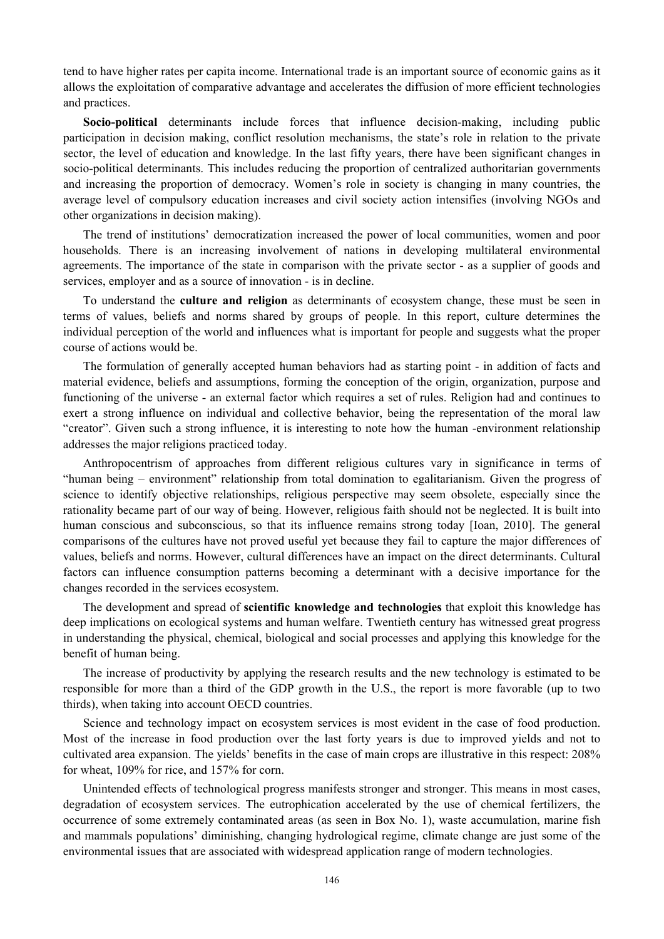tend to have higher rates per capita income. International trade is an important source of economic gains as it allows the exploitation of comparative advantage and accelerates the diffusion of more efficient technologies and practices.

**Socio-political** determinants include forces that influence decision-making, including public participation in decision making, conflict resolution mechanisms, the state's role in relation to the private sector, the level of education and knowledge. In the last fifty years, there have been significant changes in socio-political determinants. This includes reducing the proportion of centralized authoritarian governments and increasing the proportion of democracy. Women's role in society is changing in many countries, the average level of compulsory education increases and civil society action intensifies (involving NGOs and other organizations in decision making).

The trend of institutions' democratization increased the power of local communities, women and poor households. There is an increasing involvement of nations in developing multilateral environmental agreements. The importance of the state in comparison with the private sector - as a supplier of goods and services, employer and as a source of innovation - is in decline.

To understand the **culture and religion** as determinants of ecosystem change, these must be seen in terms of values, beliefs and norms shared by groups of people. In this report, culture determines the individual perception of the world and influences what is important for people and suggests what the proper course of actions would be.

The formulation of generally accepted human behaviors had as starting point - in addition of facts and material evidence, beliefs and assumptions, forming the conception of the origin, organization, purpose and functioning of the universe - an external factor which requires a set of rules. Religion had and continues to exert a strong influence on individual and collective behavior, being the representation of the moral law "creator". Given such a strong influence, it is interesting to note how the human -environment relationship addresses the major religions practiced today.

Anthropocentrism of approaches from different religious cultures vary in significance in terms of "human being – environment" relationship from total domination to egalitarianism. Given the progress of science to identify objective relationships, religious perspective may seem obsolete, especially since the rationality became part of our way of being. However, religious faith should not be neglected. It is built into human conscious and subconscious, so that its influence remains strong today [Ioan, 2010]. The general comparisons of the cultures have not proved useful yet because they fail to capture the major differences of values, beliefs and norms. However, cultural differences have an impact on the direct determinants. Cultural factors can influence consumption patterns becoming a determinant with a decisive importance for the changes recorded in the services ecosystem.

The development and spread of **scientific knowledge and technologies** that exploit this knowledge has deep implications on ecological systems and human welfare. Twentieth century has witnessed great progress in understanding the physical, chemical, biological and social processes and applying this knowledge for the benefit of human being.

The increase of productivity by applying the research results and the new technology is estimated to be responsible for more than a third of the GDP growth in the U.S., the report is more favorable (up to two thirds), when taking into account OECD countries.

Science and technology impact on ecosystem services is most evident in the case of food production. Most of the increase in food production over the last forty years is due to improved yields and not to cultivated area expansion. The yields' benefits in the case of main crops are illustrative in this respect: 208% for wheat, 109% for rice, and 157% for corn.

Unintended effects of technological progress manifests stronger and stronger. This means in most cases, degradation of ecosystem services. The eutrophication accelerated by the use of chemical fertilizers, the occurrence of some extremely contaminated areas (as seen in Box No. 1), waste accumulation, marine fish and mammals populations' diminishing, changing hydrological regime, climate change are just some of the environmental issues that are associated with widespread application range of modern technologies.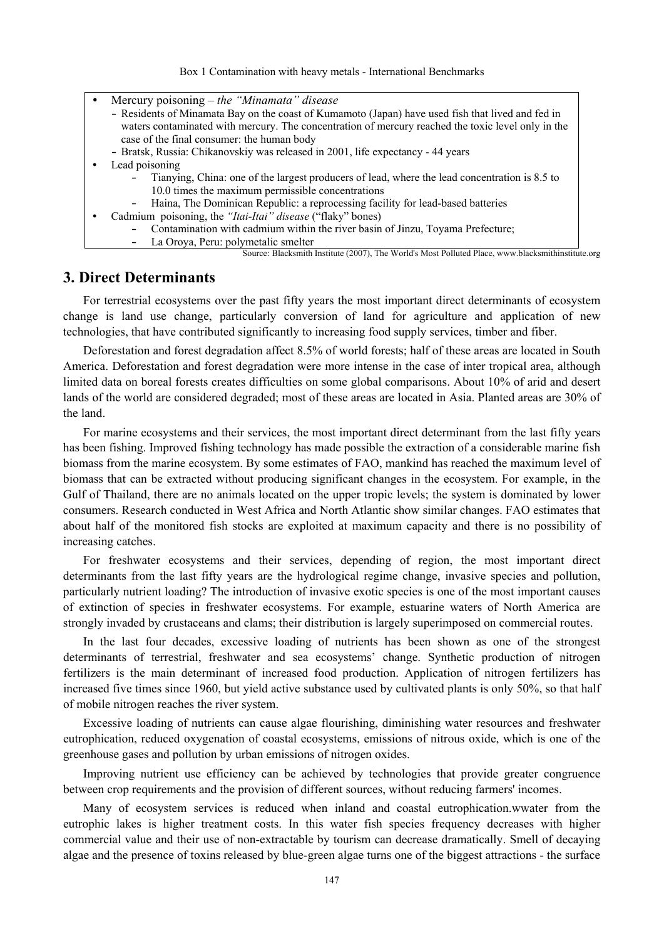Box 1 Contamination with heavy metals - International Benchmarks

- Mercury poisoning *the "Minamata" disease* 
	- Residents of Minamata Bay on the coast of Kumamoto (Japan) have used fish that lived and fed in waters contaminated with mercury. The concentration of mercury reached the toxic level only in the case of the final consumer: the human body
	- Bratsk, Russia: Chikanovskiy was released in 2001, life expectancy 44 years
- Lead poisoning
	- Tianying, China: one of the largest producers of lead, where the lead concentration is 8.5 to 10.0 times the maximum permissible concentrations
	- Haina, The Dominican Republic: a reprocessing facility for lead-based batteries
- Cadmium poisoning, the *"Itai-Itai" disease* ("flaky" bones)
	- Contamination with cadmium within the river basin of Jinzu, Toyama Prefecture;
	- La Oroya, Peru: polymetalic smelter

Source: Blacksmith Institute (2007), The World's Most Polluted Place, www.blacksmithinstitute.org

### **3. Direct Determinants**

For terrestrial ecosystems over the past fifty years the most important direct determinants of ecosystem change is land use change, particularly conversion of land for agriculture and application of new technologies, that have contributed significantly to increasing food supply services, timber and fiber.

Deforestation and forest degradation affect 8.5% of world forests; half of these areas are located in South America. Deforestation and forest degradation were more intense in the case of inter tropical area, although limited data on boreal forests creates difficulties on some global comparisons. About 10% of arid and desert lands of the world are considered degraded; most of these areas are located in Asia. Planted areas are 30% of the land.

For marine ecosystems and their services, the most important direct determinant from the last fifty years has been fishing. Improved fishing technology has made possible the extraction of a considerable marine fish biomass from the marine ecosystem. By some estimates of FAO, mankind has reached the maximum level of biomass that can be extracted without producing significant changes in the ecosystem. For example, in the Gulf of Thailand, there are no animals located on the upper tropic levels; the system is dominated by lower consumers. Research conducted in West Africa and North Atlantic show similar changes. FAO estimates that about half of the monitored fish stocks are exploited at maximum capacity and there is no possibility of increasing catches.

For freshwater ecosystems and their services, depending of region, the most important direct determinants from the last fifty years are the hydrological regime change, invasive species and pollution, particularly nutrient loading? The introduction of invasive exotic species is one of the most important causes of extinction of species in freshwater ecosystems. For example, estuarine waters of North America are strongly invaded by crustaceans and clams; their distribution is largely superimposed on commercial routes.

In the last four decades, excessive loading of nutrients has been shown as one of the strongest determinants of terrestrial, freshwater and sea ecosystems' change. Synthetic production of nitrogen fertilizers is the main determinant of increased food production. Application of nitrogen fertilizers has increased five times since 1960, but yield active substance used by cultivated plants is only 50%, so that half of mobile nitrogen reaches the river system.

Excessive loading of nutrients can cause algae flourishing, diminishing water resources and freshwater eutrophication, reduced oxygenation of coastal ecosystems, emissions of nitrous oxide, which is one of the greenhouse gases and pollution by urban emissions of nitrogen oxides.

Improving nutrient use efficiency can be achieved by technologies that provide greater congruence between crop requirements and the provision of different sources, without reducing farmers' incomes.

Many of ecosystem services is reduced when inland and coastal eutrophication.wwater from the eutrophic lakes is higher treatment costs. In this water fish species frequency decreases with higher commercial value and their use of non-extractable by tourism can decrease dramatically. Smell of decaying algae and the presence of toxins released by blue-green algae turns one of the biggest attractions - the surface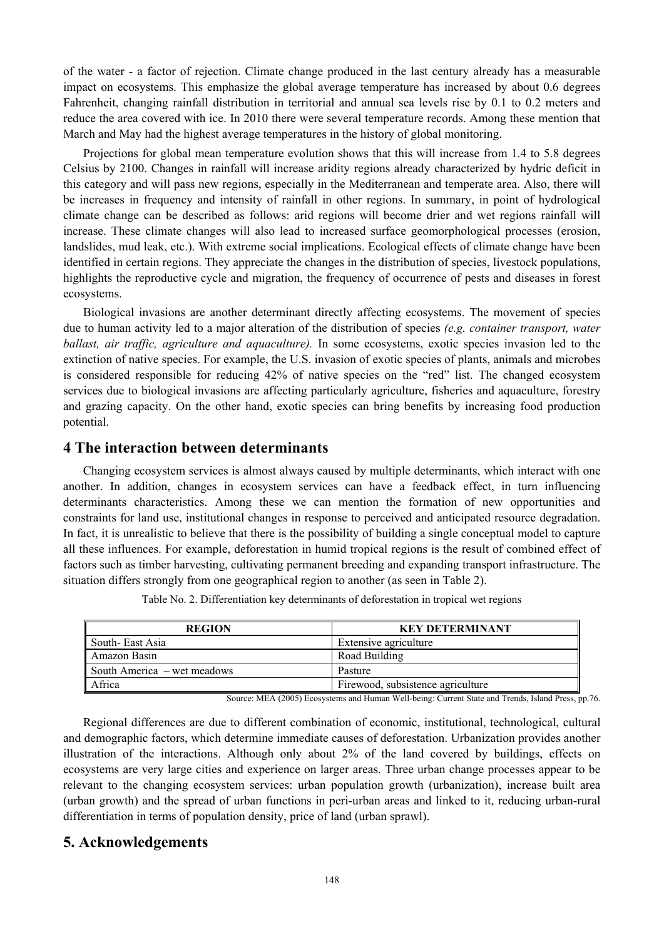of the water - a factor of rejection. Climate change produced in the last century already has a measurable impact on ecosystems. This emphasize the global average temperature has increased by about 0.6 degrees Fahrenheit, changing rainfall distribution in territorial and annual sea levels rise by 0.1 to 0.2 meters and reduce the area covered with ice. In 2010 there were several temperature records. Among these mention that March and May had the highest average temperatures in the history of global monitoring.

Projections for global mean temperature evolution shows that this will increase from 1.4 to 5.8 degrees Celsius by 2100. Changes in rainfall will increase aridity regions already characterized by hydric deficit in this category and will pass new regions, especially in the Mediterranean and temperate area. Also, there will be increases in frequency and intensity of rainfall in other regions. In summary, in point of hydrological climate change can be described as follows: arid regions will become drier and wet regions rainfall will increase. These climate changes will also lead to increased surface geomorphological processes (erosion, landslides, mud leak, etc.). With extreme social implications. Ecological effects of climate change have been identified in certain regions. They appreciate the changes in the distribution of species, livestock populations, highlights the reproductive cycle and migration, the frequency of occurrence of pests and diseases in forest ecosystems.

Biological invasions are another determinant directly affecting ecosystems. The movement of species due to human activity led to a major alteration of the distribution of species *(e.g. container transport, water ballast, air traffic, agriculture and aquaculture).* In some ecosystems, exotic species invasion led to the extinction of native species. For example, the U.S. invasion of exotic species of plants, animals and microbes is considered responsible for reducing 42% of native species on the "red" list. The changed ecosystem services due to biological invasions are affecting particularly agriculture, fisheries and aquaculture, forestry and grazing capacity. On the other hand, exotic species can bring benefits by increasing food production potential.

## **4 The interaction between determinants**

Changing ecosystem services is almost always caused by multiple determinants, which interact with one another. In addition, changes in ecosystem services can have a feedback effect, in turn influencing determinants characteristics. Among these we can mention the formation of new opportunities and constraints for land use, institutional changes in response to perceived and anticipated resource degradation. In fact, it is unrealistic to believe that there is the possibility of building a single conceptual model to capture all these influences. For example, deforestation in humid tropical regions is the result of combined effect of factors such as timber harvesting, cultivating permanent breeding and expanding transport infrastructure. The situation differs strongly from one geographical region to another (as seen in Table 2).

| <b>REGION</b>               | <b>KEY DETERMINANT</b>            |
|-----------------------------|-----------------------------------|
| South-East Asia             | Extensive agriculture             |
| Amazon Basin                | Road Building                     |
| South America – wet meadows | Pasture                           |
| Africa                      | Firewood, subsistence agriculture |

Table No. 2. Differentiation key determinants of deforestation in tropical wet regions

Source: MEA (2005) Ecosystems and Human Well-being: Current State and Trends, Island Press, pp.76.

Regional differences are due to different combination of economic, institutional, technological, cultural and demographic factors, which determine immediate causes of deforestation. Urbanization provides another illustration of the interactions. Although only about 2% of the land covered by buildings, effects on ecosystems are very large cities and experience on larger areas. Three urban change processes appear to be relevant to the changing ecosystem services: urban population growth (urbanization), increase built area (urban growth) and the spread of urban functions in peri-urban areas and linked to it, reducing urban-rural differentiation in terms of population density, price of land (urban sprawl).

## **5. Acknowledgements**